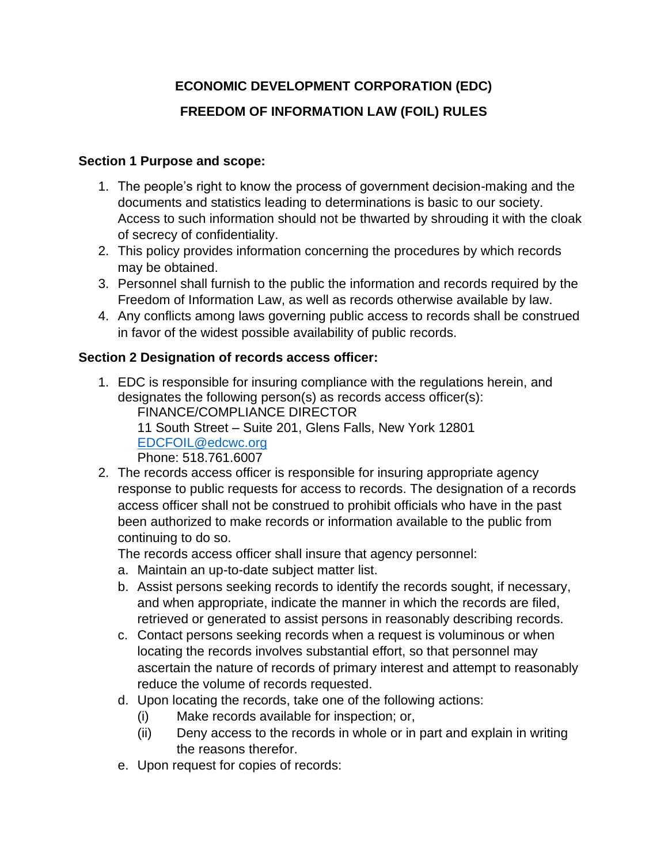# **ECONOMIC DEVELOPMENT CORPORATION (EDC) FREEDOM OF INFORMATION LAW (FOIL) RULES**

#### **Section 1 Purpose and scope:**

- 1. The people's right to know the process of government decision-making and the documents and statistics leading to determinations is basic to our society. Access to such information should not be thwarted by shrouding it with the cloak of secrecy of confidentiality.
- 2. This policy provides information concerning the procedures by which records may be obtained.
- 3. Personnel shall furnish to the public the information and records required by the Freedom of Information Law, as well as records otherwise available by law.
- 4. Any conflicts among laws governing public access to records shall be construed in favor of the widest possible availability of public records.

#### **Section 2 Designation of records access officer:**

1. EDC is responsible for insuring compliance with the regulations herein, and designates the following person(s) as records access officer(s): FINANCE/COMPLIANCE DIRECTOR

11 South Street – Suite 201, Glens Falls, New York 12801 [EDCFOIL@edcwc.org](mailto:EDCFOIL@edcwc.org)

Phone: 518.761.6007

2. The records access officer is responsible for insuring appropriate agency response to public requests for access to records. The designation of a records access officer shall not be construed to prohibit officials who have in the past been authorized to make records or information available to the public from continuing to do so.

The records access officer shall insure that agency personnel:

- a. Maintain an up-to-date subject matter list.
- b. Assist persons seeking records to identify the records sought, if necessary, and when appropriate, indicate the manner in which the records are filed, retrieved or generated to assist persons in reasonably describing records.
- c. Contact persons seeking records when a request is voluminous or when locating the records involves substantial effort, so that personnel may ascertain the nature of records of primary interest and attempt to reasonably reduce the volume of records requested.
- d. Upon locating the records, take one of the following actions:
	- (i) Make records available for inspection; or,
	- (ii) Deny access to the records in whole or in part and explain in writing the reasons therefor.
- e. Upon request for copies of records: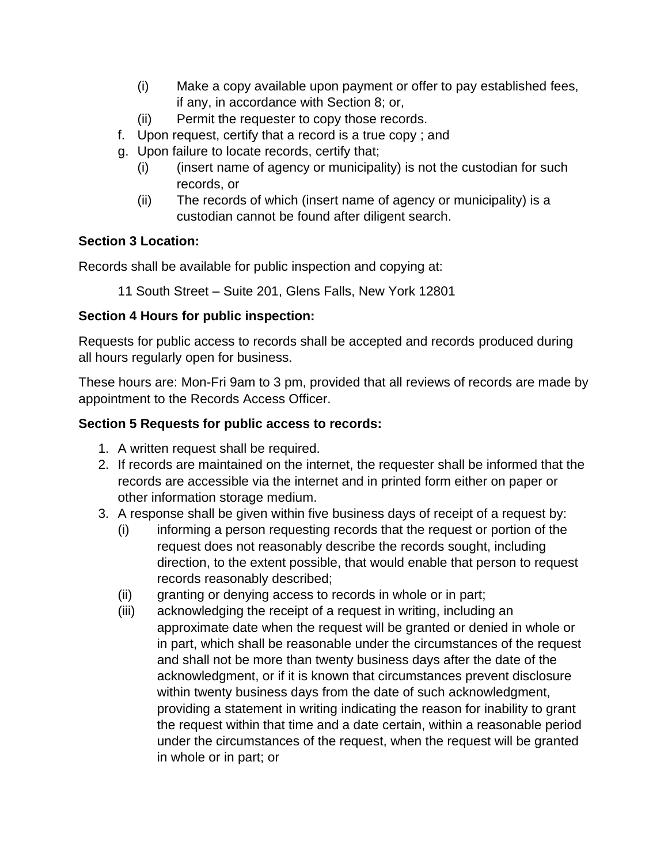- (i) Make a copy available upon payment or offer to pay established fees, if any, in accordance with Section 8; or,
- (ii) Permit the requester to copy those records.
- f. Upon request, certify that a record is a true copy ; and
- g. Upon failure to locate records, certify that;
	- (i) (insert name of agency or municipality) is not the custodian for such records, or
	- (ii) The records of which (insert name of agency or municipality) is a custodian cannot be found after diligent search.

# **Section 3 Location:**

Records shall be available for public inspection and copying at:

11 South Street – Suite 201, Glens Falls, New York 12801

# **Section 4 Hours for public inspection:**

Requests for public access to records shall be accepted and records produced during all hours regularly open for business.

These hours are: Mon-Fri 9am to 3 pm, provided that all reviews of records are made by appointment to the Records Access Officer.

# **Section 5 Requests for public access to records:**

- 1. A written request shall be required.
- 2. If records are maintained on the internet, the requester shall be informed that the records are accessible via the internet and in printed form either on paper or other information storage medium.
- 3. A response shall be given within five business days of receipt of a request by:
	- (i) informing a person requesting records that the request or portion of the request does not reasonably describe the records sought, including direction, to the extent possible, that would enable that person to request records reasonably described;
	- (ii) granting or denying access to records in whole or in part;
	- (iii) acknowledging the receipt of a request in writing, including an approximate date when the request will be granted or denied in whole or in part, which shall be reasonable under the circumstances of the request and shall not be more than twenty business days after the date of the acknowledgment, or if it is known that circumstances prevent disclosure within twenty business days from the date of such acknowledgment, providing a statement in writing indicating the reason for inability to grant the request within that time and a date certain, within a reasonable period under the circumstances of the request, when the request will be granted in whole or in part; or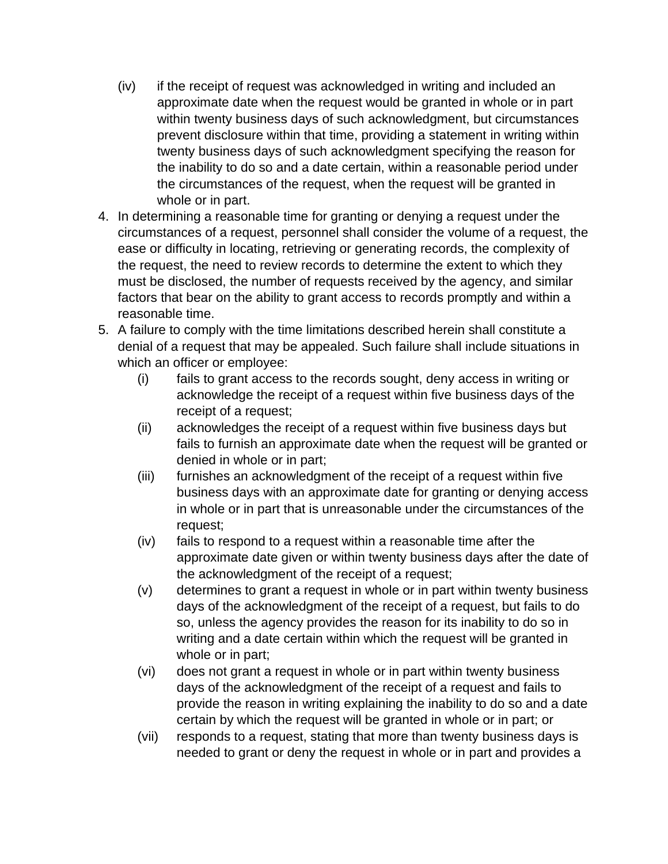- (iv) if the receipt of request was acknowledged in writing and included an approximate date when the request would be granted in whole or in part within twenty business days of such acknowledgment, but circumstances prevent disclosure within that time, providing a statement in writing within twenty business days of such acknowledgment specifying the reason for the inability to do so and a date certain, within a reasonable period under the circumstances of the request, when the request will be granted in whole or in part.
- 4. In determining a reasonable time for granting or denying a request under the circumstances of a request, personnel shall consider the volume of a request, the ease or difficulty in locating, retrieving or generating records, the complexity of the request, the need to review records to determine the extent to which they must be disclosed, the number of requests received by the agency, and similar factors that bear on the ability to grant access to records promptly and within a reasonable time.
- 5. A failure to comply with the time limitations described herein shall constitute a denial of a request that may be appealed. Such failure shall include situations in which an officer or employee:
	- (i) fails to grant access to the records sought, deny access in writing or acknowledge the receipt of a request within five business days of the receipt of a request;
	- (ii) acknowledges the receipt of a request within five business days but fails to furnish an approximate date when the request will be granted or denied in whole or in part;
	- (iii) furnishes an acknowledgment of the receipt of a request within five business days with an approximate date for granting or denying access in whole or in part that is unreasonable under the circumstances of the request;
	- (iv) fails to respond to a request within a reasonable time after the approximate date given or within twenty business days after the date of the acknowledgment of the receipt of a request;
	- (v) determines to grant a request in whole or in part within twenty business days of the acknowledgment of the receipt of a request, but fails to do so, unless the agency provides the reason for its inability to do so in writing and a date certain within which the request will be granted in whole or in part;
	- (vi) does not grant a request in whole or in part within twenty business days of the acknowledgment of the receipt of a request and fails to provide the reason in writing explaining the inability to do so and a date certain by which the request will be granted in whole or in part; or
	- (vii) responds to a request, stating that more than twenty business days is needed to grant or deny the request in whole or in part and provides a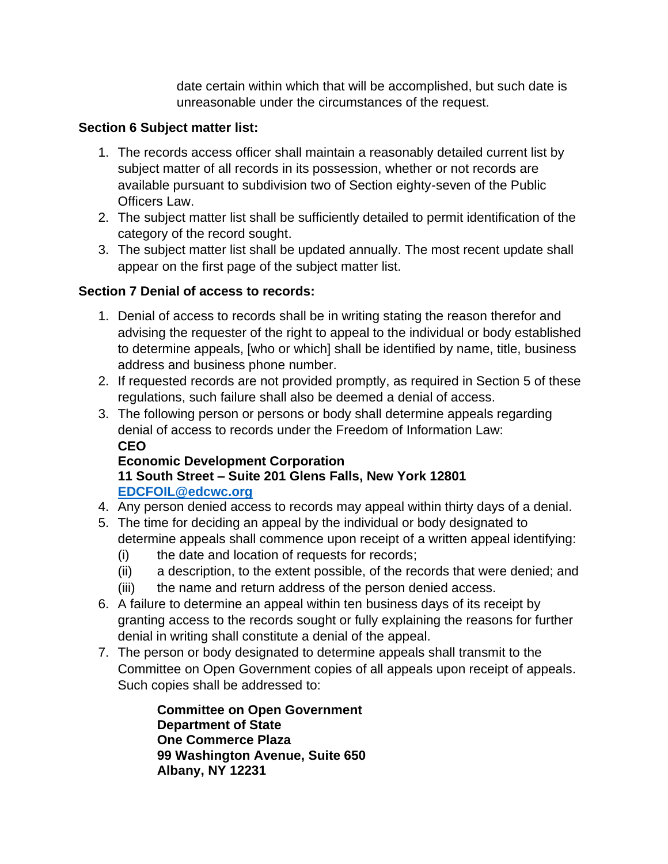date certain within which that will be accomplished, but such date is unreasonable under the circumstances of the request.

### **Section 6 Subject matter list:**

- 1. The records access officer shall maintain a reasonably detailed current list by subject matter of all records in its possession, whether or not records are available pursuant to subdivision two of Section eighty-seven of the Public Officers Law.
- 2. The subject matter list shall be sufficiently detailed to permit identification of the category of the record sought.
- 3. The subject matter list shall be updated annually. The most recent update shall appear on the first page of the subject matter list.

# **Section 7 Denial of access to records:**

- 1. Denial of access to records shall be in writing stating the reason therefor and advising the requester of the right to appeal to the individual or body established to determine appeals, [who or which] shall be identified by name, title, business address and business phone number.
- 2. If requested records are not provided promptly, as required in Section 5 of these regulations, such failure shall also be deemed a denial of access.
- 3. The following person or persons or body shall determine appeals regarding denial of access to records under the Freedom of Information Law: **CEO**

# **Economic Development Corporation 11 South Street – Suite 201 Glens Falls, New York 12801 [EDCFOIL@edcwc.org](mailto:EDCFOIL@edcwc.org)**

- 4. Any person denied access to records may appeal within thirty days of a denial.
- 5. The time for deciding an appeal by the individual or body designated to determine appeals shall commence upon receipt of a written appeal identifying:
	- (i) the date and location of requests for records;
	- (ii) a description, to the extent possible, of the records that were denied; and
	- (iii) the name and return address of the person denied access.
- 6. A failure to determine an appeal within ten business days of its receipt by granting access to the records sought or fully explaining the reasons for further denial in writing shall constitute a denial of the appeal.
- 7. The person or body designated to determine appeals shall transmit to the Committee on Open Government copies of all appeals upon receipt of appeals. Such copies shall be addressed to:

**Committee on Open Government Department of State One Commerce Plaza 99 Washington Avenue, Suite 650 Albany, NY 12231**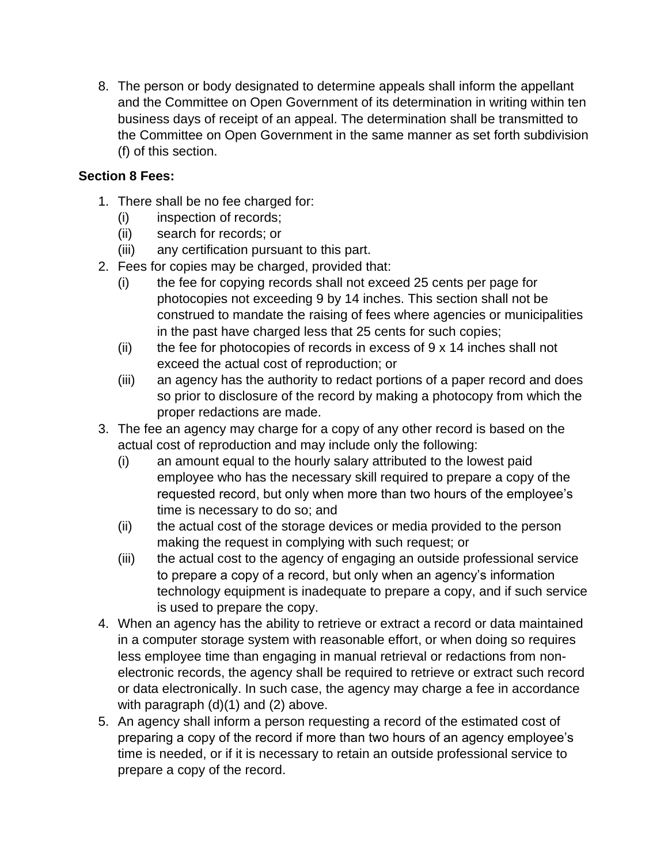8. The person or body designated to determine appeals shall inform the appellant and the Committee on Open Government of its determination in writing within ten business days of receipt of an appeal. The determination shall be transmitted to the Committee on Open Government in the same manner as set forth subdivision (f) of this section.

# **Section 8 Fees:**

- 1. There shall be no fee charged for:
	- (i) inspection of records;
	- (ii) search for records; or
	- (iii) any certification pursuant to this part.
- 2. Fees for copies may be charged, provided that:
	- (i) the fee for copying records shall not exceed 25 cents per page for photocopies not exceeding 9 by 14 inches. This section shall not be construed to mandate the raising of fees where agencies or municipalities in the past have charged less that 25 cents for such copies;
	- (ii) the fee for photocopies of records in excess of  $9 \times 14$  inches shall not exceed the actual cost of reproduction; or
	- (iii) an agency has the authority to redact portions of a paper record and does so prior to disclosure of the record by making a photocopy from which the proper redactions are made.
- 3. The fee an agency may charge for a copy of any other record is based on the actual cost of reproduction and may include only the following:
	- (i) an amount equal to the hourly salary attributed to the lowest paid employee who has the necessary skill required to prepare a copy of the requested record, but only when more than two hours of the employee's time is necessary to do so; and
	- (ii) the actual cost of the storage devices or media provided to the person making the request in complying with such request; or
	- (iii) the actual cost to the agency of engaging an outside professional service to prepare a copy of a record, but only when an agency's information technology equipment is inadequate to prepare a copy, and if such service is used to prepare the copy.
- 4. When an agency has the ability to retrieve or extract a record or data maintained in a computer storage system with reasonable effort, or when doing so requires less employee time than engaging in manual retrieval or redactions from nonelectronic records, the agency shall be required to retrieve or extract such record or data electronically. In such case, the agency may charge a fee in accordance with paragraph (d)(1) and (2) above.
- 5. An agency shall inform a person requesting a record of the estimated cost of preparing a copy of the record if more than two hours of an agency employee's time is needed, or if it is necessary to retain an outside professional service to prepare a copy of the record.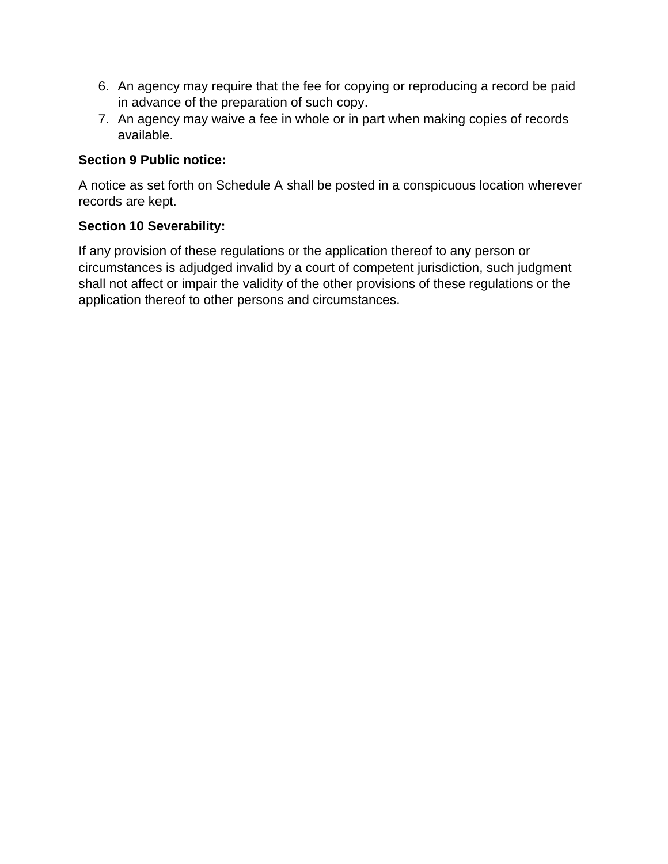- 6. An agency may require that the fee for copying or reproducing a record be paid in advance of the preparation of such copy.
- 7. An agency may waive a fee in whole or in part when making copies of records available.

#### **Section 9 Public notice:**

A notice as set forth on Schedule A shall be posted in a conspicuous location wherever records are kept.

#### **Section 10 Severability:**

If any provision of these regulations or the application thereof to any person or circumstances is adjudged invalid by a court of competent jurisdiction, such judgment shall not affect or impair the validity of the other provisions of these regulations or the application thereof to other persons and circumstances.